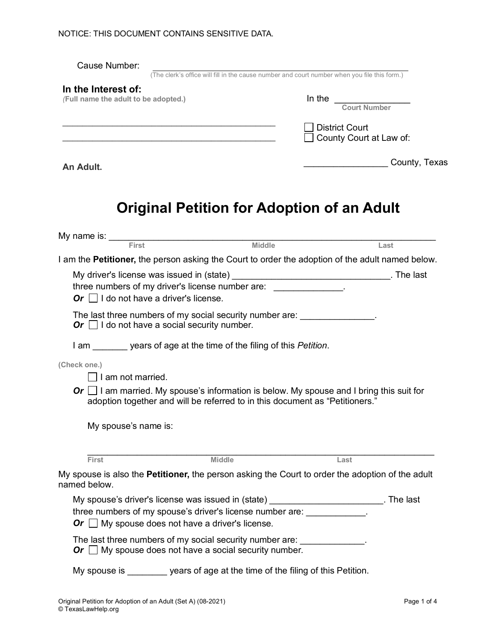| Cause Number:                                                                                                                                                                                                                  | (The clerk's office will fill in the cause number and court number when you file this form.)                                                                                  |
|--------------------------------------------------------------------------------------------------------------------------------------------------------------------------------------------------------------------------------|-------------------------------------------------------------------------------------------------------------------------------------------------------------------------------|
| In the Interest of:<br>(Full name the adult to be adopted.)                                                                                                                                                                    | In the Court Number<br><b>District Court</b><br>County Court at Law of:                                                                                                       |
| An Adult.                                                                                                                                                                                                                      | County, Texas                                                                                                                                                                 |
|                                                                                                                                                                                                                                | Original Petition for Adoption of an Adult                                                                                                                                    |
| My name is: First Microsoft Microsoft Microsoft Microsoft Microsoft Microsoft Microsoft Microsoft Microsoft Microsoft Microsoft Microsoft Microsoft Microsoft Microsoft Microsoft Microsoft Microsoft Microsoft Microsoft Micr | Middle<br>Last                                                                                                                                                                |
|                                                                                                                                                                                                                                | I am the <b>Petitioner</b> , the person asking the Court to order the adoption of the adult named below.                                                                      |
| Or $\Box$ I do not have a driver's license.<br>Or $\Box$ I do not have a social security number.                                                                                                                               | three numbers of my driver's license number are: _____________.<br>The last three numbers of my social security number are: _______________.                                  |
| I am years of age at the time of the filing of this <i>Petition</i> .                                                                                                                                                          |                                                                                                                                                                               |
| (Check one.)<br>I am not married.<br>My spouse's name is:                                                                                                                                                                      | Or $\Box$ I am married. My spouse's information is below. My spouse and I bring this suit for<br>adoption together and will be referred to in this document as "Petitioners." |
| First                                                                                                                                                                                                                          | <b>Middle</b><br>Last                                                                                                                                                         |
| named below.                                                                                                                                                                                                                   | My spouse is also the <b>Petitioner,</b> the person asking the Court to order the adoption of the adult                                                                       |
| Or $\Box$ My spouse does not have a driver's license.                                                                                                                                                                          | My spouse's driver's license was issued in (state) __________________________. The last<br>three numbers of my spouse's driver's license number are: ____________.            |
| Or $\Box$ My spouse does not have a social security number.                                                                                                                                                                    | The last three numbers of my social security number are: _____________.                                                                                                       |
|                                                                                                                                                                                                                                | My spouse is years of age at the time of the filing of this Petition.                                                                                                         |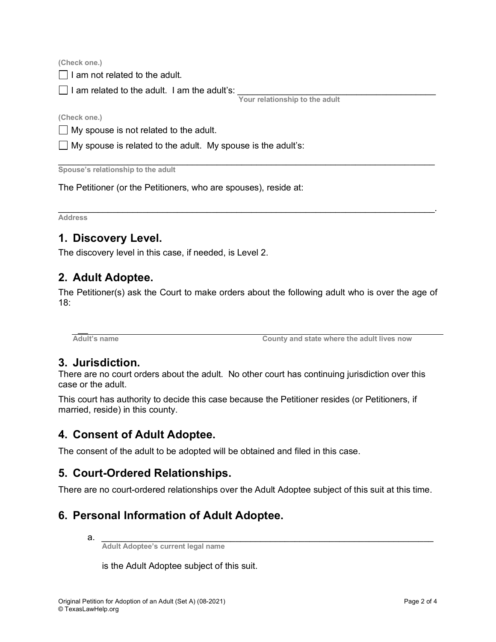**(Check one.)**

 $\Box$  I am not related to the adult.

 $\Box$  I am related to the adult. I am the adult's:

**Your relationship to the adult**

**(Check one.)**

 $\Box$  My spouse is not related to the adult.

 $\Box$  My spouse is related to the adult. My spouse is the adult's:

\_\_\_\_\_\_\_\_\_\_\_\_\_\_\_\_\_\_\_\_\_\_\_\_\_\_\_\_\_\_\_\_\_\_\_\_\_\_\_\_\_\_\_\_\_\_\_\_\_\_\_\_\_\_\_\_\_\_\_\_\_\_\_\_\_\_\_\_\_\_\_\_\_\_\_\_ **Spouse's relationship to the adult**

The Petitioner (or the Petitioners, who are spouses), reside at:

\_\_\_\_\_\_\_\_\_\_\_\_\_\_\_\_\_\_\_\_\_\_\_\_\_\_\_\_\_\_\_\_\_\_\_\_\_\_\_\_\_\_\_\_\_\_\_\_\_\_\_\_\_\_\_\_\_\_\_\_\_\_\_\_\_\_\_\_\_\_\_\_\_\_\_\_. **Address**

### **1. Discovery Level.**

The discovery level in this case, if needed, is Level 2.

### **2. Adult Adoptee.**

The Petitioner(s) ask the Court to make orders about the following adult who is over the age of 18:

 $\overline{a}$ 

**Adult's name County and state where the adult lives now**

#### **3. Jurisdiction.**

There are no court orders about the adult. No other court has continuing jurisdiction over this case or the adult.

This court has authority to decide this case because the Petitioner resides (or Petitioners, if married, reside) in this county.

### **4. Consent of Adult Adoptee.**

The consent of the adult to be adopted will be obtained and filed in this case.

# **5. Court-Ordered Relationships.**

There are no court-ordered relationships over the Adult Adoptee subject of this suit at this time.

### **6. Personal Information of Adult Adoptee.**

a. *\_\_\_\_\_\_\_\_\_\_\_\_\_\_\_\_\_\_\_\_\_\_\_\_\_\_\_\_\_\_\_\_\_\_\_\_\_\_\_\_\_\_\_\_\_\_\_\_\_\_\_\_\_\_\_\_\_\_\_\_\_\_\_\_\_\_\_*

**Adult Adoptee's current legal name** 

is the Adult Adoptee subject of this suit.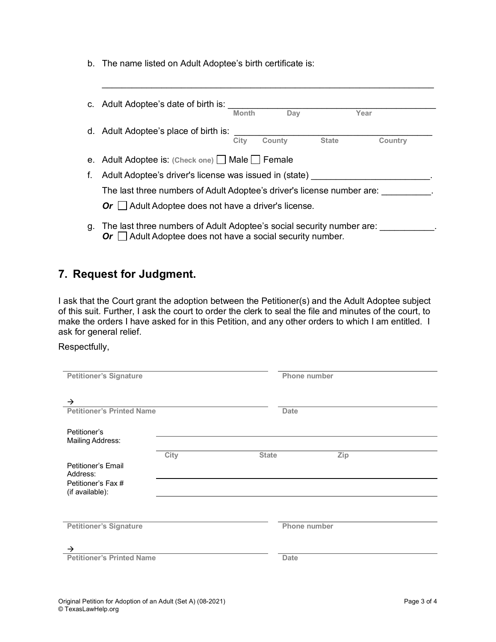b. The name listed on Adult Adoptee's birth certificate is:

|    | c. Adult Adoptee's date of birth is:                                                                                                                                                            |              |        |              |         |  |  |
|----|-------------------------------------------------------------------------------------------------------------------------------------------------------------------------------------------------|--------------|--------|--------------|---------|--|--|
|    |                                                                                                                                                                                                 | <b>Month</b> | Dav    |              | Year    |  |  |
|    | d. Adult Adoptee's place of birth is:                                                                                                                                                           |              |        |              |         |  |  |
|    |                                                                                                                                                                                                 | City         | County | <b>State</b> | Country |  |  |
|    | e. Adult Adoptee is: (Check one) $\Box$ Male $\Box$ Female                                                                                                                                      |              |        |              |         |  |  |
| f. | Adult Adoptee's driver's license was issued in (state)<br>The last three numbers of Adult Adoptee's driver's license number are:<br>$Or$ $\Box$ Adult Adoptee does not have a driver's license. |              |        |              |         |  |  |
|    |                                                                                                                                                                                                 |              |        |              |         |  |  |
|    |                                                                                                                                                                                                 |              |        |              |         |  |  |
|    | g. The last three numbers of Adult Adoptee's social security number are:                                                                                                                        |              |        |              |         |  |  |

 $\_$  , and the set of the set of the set of the set of the set of the set of the set of the set of the set of the set of the set of the set of the set of the set of the set of the set of the set of the set of the set of th

 $\mathsf{Or} \sqcup \mathsf{A}$ dult Adoptee does not have a social security number.

## **7. Request for Judgment.**

I ask that the Court grant the adoption between the Petitioner(s) and the Adult Adoptee subject of this suit. Further, I ask the court to order the clerk to seal the file and minutes of the court, to make the orders I have asked for in this Petition, and any other orders to which I am entitled. I ask for general relief.

Respectfully,

| <b>Petitioner's Signature</b>    |      |              | Phone number |     |  |
|----------------------------------|------|--------------|--------------|-----|--|
|                                  |      |              |              |     |  |
|                                  |      |              |              |     |  |
|                                  |      |              |              |     |  |
| $\rightarrow$                    |      |              |              |     |  |
| <b>Petitioner's Printed Name</b> |      |              | <b>Date</b>  |     |  |
|                                  |      |              |              |     |  |
|                                  |      |              |              |     |  |
| Petitioner's                     |      |              |              |     |  |
| <b>Mailing Address:</b>          |      |              |              |     |  |
|                                  |      |              |              |     |  |
|                                  | City | <b>State</b> |              | Zip |  |
| Petitioner's Email               |      |              |              |     |  |
| Address:                         |      |              |              |     |  |
|                                  |      |              |              |     |  |
| Petitioner's Fax #               |      |              |              |     |  |
| (if available):                  |      |              |              |     |  |
|                                  |      |              |              |     |  |
|                                  |      |              |              |     |  |
|                                  |      |              |              |     |  |
| <b>Petitioner's Signature</b>    |      |              | Phone number |     |  |
|                                  |      |              |              |     |  |
|                                  |      |              |              |     |  |
| $\rightarrow$                    |      |              |              |     |  |
|                                  |      |              |              |     |  |
| <b>Petitioner's Printed Name</b> |      |              | <b>Date</b>  |     |  |
|                                  |      |              |              |     |  |
|                                  |      |              |              |     |  |